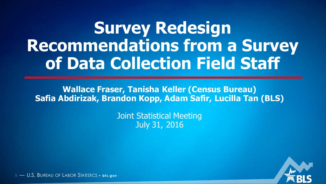### **Survey Redesign Recommendations from a Survey of Data Collection Field Staff**

**Wallace Fraser, Tanisha Keller (Census Bureau) Safia Abdirizak, Brandon Kopp, Adam Safir, Lucilla Tan (BLS)**

> Joint Statistical Meeting July 31, 2016



<sup>1</sup> — U.S. BUREAU OF LABOR STATISTICS • **bl s.gov**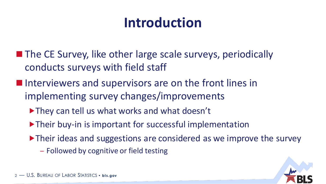#### **Introduction**

- **The CE Survey, like other large scale surveys, periodically** conducts surveys with field staff
- Interviewers and supervisors are on the front lines in implementing survey changes/improvements
	- ▶ They can tell us what works and what doesn't
	- ▶ Their buy-in is important for successful implementation
	- Their ideas and suggestions are considered as we improve the survey
		- Followed by cognitive or field testing

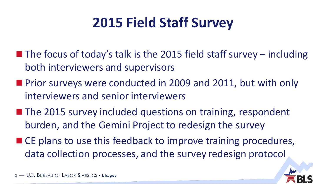### **2015 Field Staff Survey**

- $\blacksquare$  The focus of today's talk is the 2015 field staff survey including both interviewers and supervisors
- **Prior surveys were conducted in 2009 and 2011, but with only** interviewers and senior interviewers
- **The 2015 survey included questions on training, respondent** burden, and the Gemini Project to redesign the survey
- CE plans to use this feedback to improve training procedures, data collection processes, and the survey redesign protocol

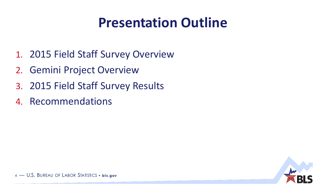#### **Presentation Outline**

- 1. 2015 Field Staff Survey Overview
- 2. Gemini Project Overview
- 3. 2015 Field Staff Survey Results
- 4. Recommendations

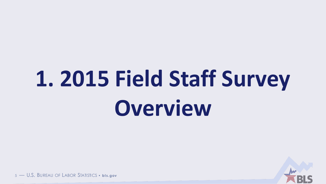# 1. 2015 Field Staff Survey Overview



5 - U.S. BUREAU OF LABOR STATISTICS • bis.gov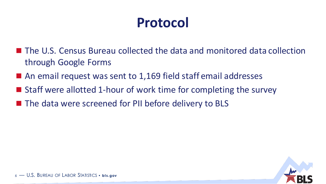### **Protocol**

- The U.S. Census Bureau collected the data and monitored data collection through Google Forms
- An email request was sent to 1,169 field staff email addresses
- Staff were allotted 1-hour of work time for completing the survey
- The data were screened for PII before delivery to BLS

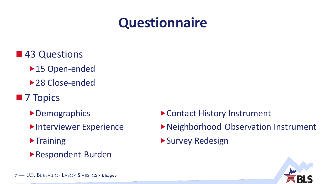#### **Questionnaire**

- ■43 Questions
	- ▶ 15 Open-ended
	- ▶ 28 Close-ended
- **7 Topics** 
	- ▶ Demographics
	- **Interviewer Experience**
	- $\blacktriangleright$  Training
	- Respondent Burden
- ▶ Contact History Instrument
- Neighborhood Observation Instrument
- Survey Redesign

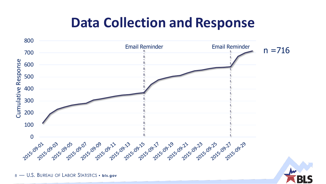#### **Data Collection and Response**



8 - U.S. BUREAU OF LABOR STATISTICS . bis.gov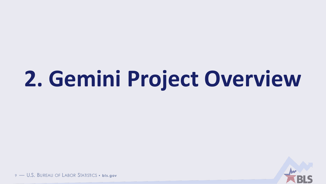## 2. Gemini Project Overview



9 - U.S. BUREAU OF LABOR STATISTICS . bls.gov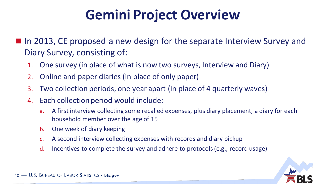#### **Gemini Project Overview**

■ In 2013, CE proposed a new design for the separate Interview Survey and Diary Survey, consisting of:

- 1. One survey (in place of what is now two surveys, Interview and Diary)
- 2. Online and paper diaries (in place of only paper)
- 3. Two collection periods, one year apart (in place of 4 quarterly waves)
- 4. Each collection period would include:
	- a. A first interview collecting some recalled expenses, plus diary placement, a diary for each household member over the age of 15
	- b. One week of diary keeping
	- c. A second interview collecting expenses with records and diary pickup
	- d. Incentives to complete the survey and adhere to protocols (e.g., record usage)



10 — U.S. BUREAU OF LABOR STATISTICS • **bis.gov**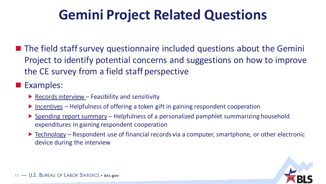#### **Gemini Project Related Questions**

 $\blacksquare$  The field staff survey questionnaire included questions about the Gemini Project to identify potential concerns and suggestions on how to improve the CE survey from a field staff perspective

#### Examples:

- Records interview Feasibility and sensitivity
- $\blacktriangleright$  Incentives Helpfulness of offering a token gift in gaining respondent cooperation
- ▶ Spending report summary Helpfulness of a personalized pamphlet summarizing household expenditures in gaining respondent cooperation
- ▶ Technology Respondent use of financial records via a computer, smartphone, or other electronic device during the interview

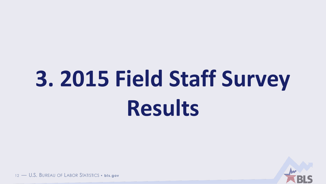# 3. 2015 Field Staff Survey **Results**



12 - U.S. BUREAU OF LABOR STATISTICS • bis.gov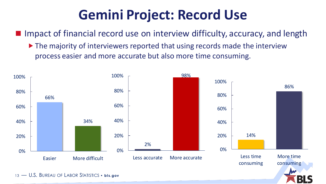#### **Gemini Project: Record Use**

■ Impact of financial record use on interview difficulty, accuracy, and length

▶ The majority of interviewers reported that using records made the interview process easier and more accurate but also more time consuming.

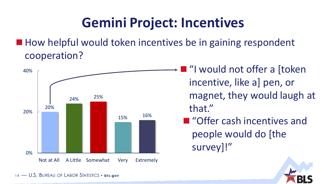#### **Gemini Project: Incentives**

 $\blacksquare$  How helpful would token incentives be in gaining respondent cooperation?



■ "I would not offer a [token incentive, like a] pen, or magnet, they would laugh at that."

■ "Offer cash incentives and people would do [the survey]!"

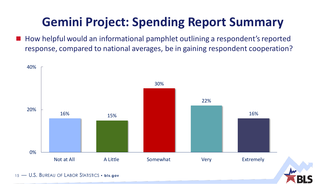#### **Gemini Project: Spending Report Summary**

 How helpful would an informational pamphlet outlining a respondent's reported response, compared to national averages, be in gaining respondent cooperation?

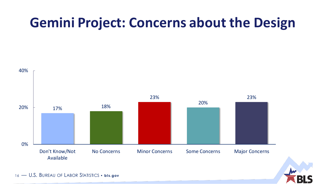#### **Gemini Project: Concerns about the Design**



16 - U.S. BUREAU OF LABOR STATISTICS • **bis.gov**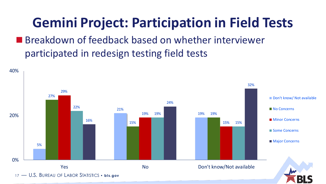### **Gemini Project: Participation in Field Tests**

■ Breakdown of feedback based on whether interviewer participated in redesign testing field tests

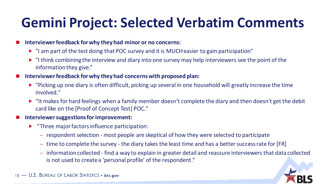#### **Gemini Project: Selected Verbatim Comments**

#### **Interviewer feedback for why they had minor or no concerns:**

- "I am part of the test doing that POC survey and it is MUCH easier to gain participation"
- $\blacktriangleright$  "I think combining the interview and diary into one survey may help interviewers see the point of the information they give."
- **Interviewer feedback for why they had concerns with proposed plan:** 
	- "Picking up one diary is often difficult, picking up several in one household will greatly increase the time involved."
	- ► "It makes for hard feelings when a family member doesn't complete the diary and then doesn't get the debit card like on the [Proof of Concept Test] POC."

#### **Interviewer suggestions for improvement:**

- **F** "Three major factors influence participation:
	- respondent selection most people are skeptical of how they were selected to participate
	- time to complete the survey the diary takes the least time and has a better success rate for [FR]
	- information collected find a way to explain in greater detail and reassure interviewers that data collected is not used to create a 'personal profile' of the respondent."



18 — U.S. BUREAU OF LABOR STATISTICS • **bis.gov**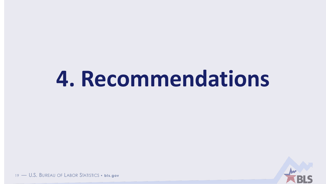## 4. Recommendations



19 - U.S. BUREAU OF LABOR STATISTICS . bis.gov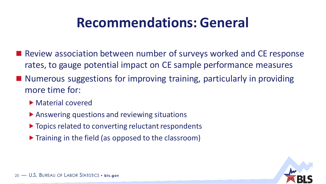#### **Recommendations: General**

- Review association between number of surveys worked and CE response rates, to gauge potential impact on CE sample performance measures
- Numerous suggestions for improving training, particularly in providing more time for:
	- ▶ Material covered
	- ▶ Answering questions and reviewing situations
	- $\triangleright$  Topics related to converting reluctant respondents
	- $\triangleright$  Training in the field (as opposed to the classroom)

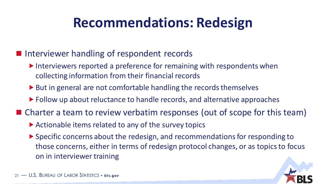#### **Recommendations: Redesign**

- **I** Interviewer handling of respondent records
	- $\blacktriangleright$  Interviewers reported a preference for remaining with respondents when collecting information from their financial records
	- ▶ But in general are not comfortable handling the records themselves
	- ▶ Follow up about reluctance to handle records, and alternative approaches
- Charter a team to review verbatim responses (out of scope for this team)
	- ▶ Actionable items related to any of the survey topics
	- Specific concerns about the redesign, and recommendations for responding to those concerns, either in terms of redesign protocol changes, or as topics to focus on in interviewer training